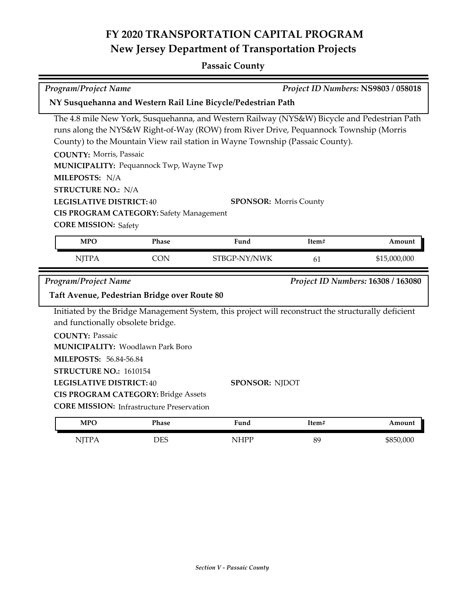# **FY 2020 TRANSPORTATION CAPITAL PROGRAM New Jersey Department of Transportation Projects**

## **Passaic County**

| <b>Program/Project Name</b>                                                                                                                                                                                                                                                                     |            |                                                                                                                                                                                                                                                                                                        | Project ID Numbers: NS9803 / 058018 |              |  |  |
|-------------------------------------------------------------------------------------------------------------------------------------------------------------------------------------------------------------------------------------------------------------------------------------------------|------------|--------------------------------------------------------------------------------------------------------------------------------------------------------------------------------------------------------------------------------------------------------------------------------------------------------|-------------------------------------|--------------|--|--|
| NY Susquehanna and Western Rail Line Bicycle/Pedestrian Path                                                                                                                                                                                                                                    |            |                                                                                                                                                                                                                                                                                                        |                                     |              |  |  |
| <b>COUNTY: Morris, Passaic</b><br>MUNICIPALITY: Pequannock Twp, Wayne Twp<br>MILEPOSTS: N/A<br><b>STRUCTURE NO.: N/A</b><br><b>LEGISLATIVE DISTRICT:40</b><br>CIS PROGRAM CATEGORY: Safety Management<br><b>CORE MISSION: Safety</b>                                                            |            | The 4.8 mile New York, Susquehanna, and Western Railway (NYS&W) Bicycle and Pedestrian Path<br>runs along the NYS&W Right-of-Way (ROW) from River Drive, Pequannock Township (Morris<br>County) to the Mountain View rail station in Wayne Township (Passaic County).<br><b>SPONSOR: Morris County</b> |                                     |              |  |  |
| <b>MPO</b>                                                                                                                                                                                                                                                                                      | Phase      | Fund                                                                                                                                                                                                                                                                                                   | Item#                               | Amount       |  |  |
| <b>NJTPA</b>                                                                                                                                                                                                                                                                                    | <b>CON</b> | STBGP-NY/NWK                                                                                                                                                                                                                                                                                           | 61                                  | \$15,000,000 |  |  |
| <b>Program/Project Name</b><br>Project ID Numbers: 16308 / 163080<br>Taft Avenue, Pedestrian Bridge over Route 80                                                                                                                                                                               |            |                                                                                                                                                                                                                                                                                                        |                                     |              |  |  |
| and functionally obsolete bridge.<br><b>COUNTY: Passaic</b><br><b>MUNICIPALITY: Woodlawn Park Boro</b><br>MILEPOSTS: 56.84-56.84<br>STRUCTURE NO.: 1610154<br><b>LEGISLATIVE DISTRICT: 40</b><br><b>CIS PROGRAM CATEGORY: Bridge Assets</b><br><b>CORE MISSION: Infrastructure Preservation</b> |            | Initiated by the Bridge Management System, this project will reconstruct the structurally deficient<br><b>SPONSOR: NJDOT</b>                                                                                                                                                                           |                                     |              |  |  |
| <b>MPO</b>                                                                                                                                                                                                                                                                                      | Phase      | Fund                                                                                                                                                                                                                                                                                                   | Item#                               | Amount       |  |  |

NJTPA DES NHPP 89 \$850,000